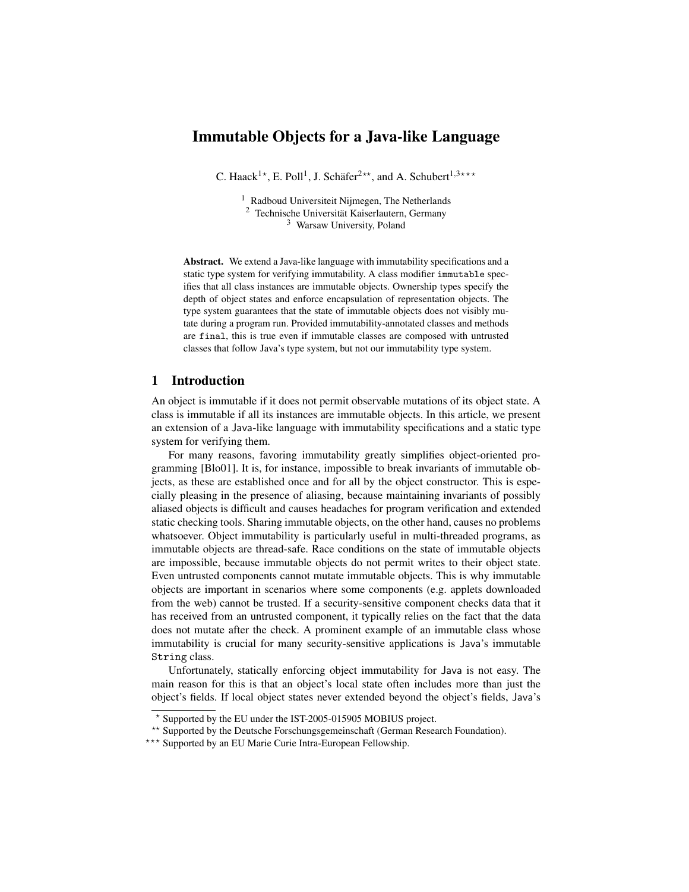# Immutable Objects for a Java-like Language

C. Haack<sup>1\*</sup>, E. Poll<sup>1</sup>, J. Schäfer<sup>2\*\*</sup>, and A. Schubert<sup>1,3\*\*\*</sup>

<sup>1</sup> Radboud Universiteit Nijmegen, The Netherlands  $2$  Technische Universität Kaiserlautern, Germany <sup>3</sup> Warsaw University, Poland

Abstract. We extend a Java-like language with immutability specifications and a static type system for verifying immutability. A class modifier immutable specifies that all class instances are immutable objects. Ownership types specify the depth of object states and enforce encapsulation of representation objects. The type system guarantees that the state of immutable objects does not visibly mutate during a program run. Provided immutability-annotated classes and methods are final, this is true even if immutable classes are composed with untrusted classes that follow Java's type system, but not our immutability type system.

#### 1 Introduction

An object is immutable if it does not permit observable mutations of its object state. A class is immutable if all its instances are immutable objects. In this article, we present an extension of a Java-like language with immutability specifications and a static type system for verifying them.

For many reasons, favoring immutability greatly simplifies object-oriented programming [Blo01]. It is, for instance, impossible to break invariants of immutable objects, as these are established once and for all by the object constructor. This is especially pleasing in the presence of aliasing, because maintaining invariants of possibly aliased objects is difficult and causes headaches for program verification and extended static checking tools. Sharing immutable objects, on the other hand, causes no problems whatsoever. Object immutability is particularly useful in multi-threaded programs, as immutable objects are thread-safe. Race conditions on the state of immutable objects are impossible, because immutable objects do not permit writes to their object state. Even untrusted components cannot mutate immutable objects. This is why immutable objects are important in scenarios where some components (e.g. applets downloaded from the web) cannot be trusted. If a security-sensitive component checks data that it has received from an untrusted component, it typically relies on the fact that the data does not mutate after the check. A prominent example of an immutable class whose immutability is crucial for many security-sensitive applications is Java's immutable String class.

Unfortunately, statically enforcing object immutability for Java is not easy. The main reason for this is that an object's local state often includes more than just the object's fields. If local object states never extended beyond the object's fields, Java's

<sup>?</sup> Supported by the EU under the IST-2005-015905 MOBIUS project.

 $**$  Supported by the Deutsche Forschungsgemeinschaft (German Research Foundation).

<sup>\*\*\*</sup> Supported by an EU Marie Curie Intra-European Fellowship.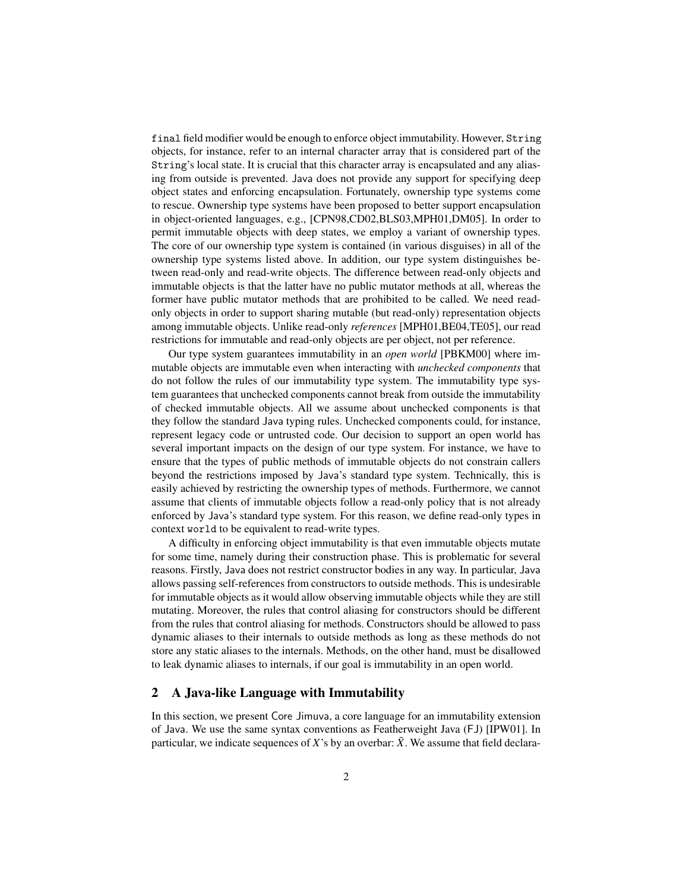final field modifier would be enough to enforce object immutability. However, String objects, for instance, refer to an internal character array that is considered part of the String's local state. It is crucial that this character array is encapsulated and any aliasing from outside is prevented. Java does not provide any support for specifying deep object states and enforcing encapsulation. Fortunately, ownership type systems come to rescue. Ownership type systems have been proposed to better support encapsulation in object-oriented languages, e.g., [CPN98,CD02,BLS03,MPH01,DM05]. In order to permit immutable objects with deep states, we employ a variant of ownership types. The core of our ownership type system is contained (in various disguises) in all of the ownership type systems listed above. In addition, our type system distinguishes between read-only and read-write objects. The difference between read-only objects and immutable objects is that the latter have no public mutator methods at all, whereas the former have public mutator methods that are prohibited to be called. We need readonly objects in order to support sharing mutable (but read-only) representation objects among immutable objects. Unlike read-only *references* [MPH01,BE04,TE05], our read restrictions for immutable and read-only objects are per object, not per reference.

Our type system guarantees immutability in an *open world* [PBKM00] where immutable objects are immutable even when interacting with *unchecked components* that do not follow the rules of our immutability type system. The immutability type system guarantees that unchecked components cannot break from outside the immutability of checked immutable objects. All we assume about unchecked components is that they follow the standard Java typing rules. Unchecked components could, for instance, represent legacy code or untrusted code. Our decision to support an open world has several important impacts on the design of our type system. For instance, we have to ensure that the types of public methods of immutable objects do not constrain callers beyond the restrictions imposed by Java's standard type system. Technically, this is easily achieved by restricting the ownership types of methods. Furthermore, we cannot assume that clients of immutable objects follow a read-only policy that is not already enforced by Java's standard type system. For this reason, we define read-only types in context world to be equivalent to read-write types.

A difficulty in enforcing object immutability is that even immutable objects mutate for some time, namely during their construction phase. This is problematic for several reasons. Firstly, Java does not restrict constructor bodies in any way. In particular, Java allows passing self-references from constructors to outside methods. This is undesirable for immutable objects as it would allow observing immutable objects while they are still mutating. Moreover, the rules that control aliasing for constructors should be different from the rules that control aliasing for methods. Constructors should be allowed to pass dynamic aliases to their internals to outside methods as long as these methods do not store any static aliases to the internals. Methods, on the other hand, must be disallowed to leak dynamic aliases to internals, if our goal is immutability in an open world.

# 2 A Java-like Language with Immutability

In this section, we present Core Jimuva, a core language for an immutability extension of Java. We use the same syntax conventions as Featherweight Java (FJ) [IPW01]. In particular, we indicate sequences of *X*'s by an overbar:  $\bar{X}$ . We assume that field declara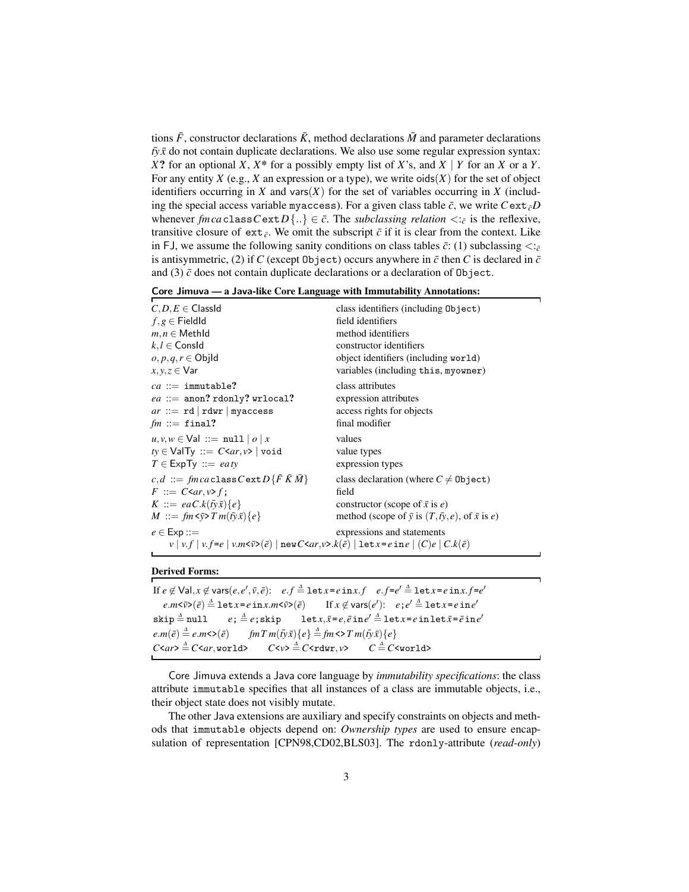tions  $\bar{F}$ , constructor declarations  $\bar{K}$ , method declarations  $\bar{M}$  and parameter declarations  $t_y \bar{x}$  do not contain duplicate declarations. We also use some regular expression syntax: *X*? for an optional *X*, *X*\* for a possibly empty list of *X*'s, and *X* | *Y* for an *X* or a *Y*. For any entity *X* (e.g., *X* an expression or a type), we write oids(*X*) for the set of object identifiers occurring in  $X$  and vars $(X)$  for the set of variables occurring in  $X$  (including the special access variable myaccess). For a given class table  $\bar{c}$ , we write  $C$ ext $_{\bar{c}}D$ whenever  $\text{frac}$  class  $C$  ext  $D\{...\} \in \bar{c}$ . The *subclassing relation*  $\lt:_{\bar{c}}$  is the reflexive, transitive closure of  $ext{ext}_{\bar{c}}$ . We omit the subscript  $\bar{c}$  if it is clear from the context. Like in FJ, we assume the following sanity conditions on class tables  $\bar{c}$ : (1) subclassing  $\langle \cdot \cdot \cdot \cdot \rangle$ is antisymmetric, (2) if *C* (except 0bject) occurs anywhere in  $\bar{c}$  then *C* is declared in  $\bar{c}$ and (3)  $\bar{c}$  does not contain duplicate declarations or a declaration of 0bject.

Core Jimuva — a Java-like Core Language with Immutability Annotations:

| $C, D, E \in$ ClassId                                                                                                                                           | class identifiers (including Object)                                |  |  |
|-----------------------------------------------------------------------------------------------------------------------------------------------------------------|---------------------------------------------------------------------|--|--|
| $f,g \in$ FieldId                                                                                                                                               | field identifiers                                                   |  |  |
| $m, n \in \mathsf{Method}$                                                                                                                                      | method identifiers                                                  |  |  |
| $k, l \in$ Consid                                                                                                                                               | constructor identifiers                                             |  |  |
| $o, p, q, r \in \mathsf{Obild}$                                                                                                                                 | object identifiers (including world)                                |  |  |
| $x, y, z \in \mathsf{Var}$                                                                                                                                      | variables (including this, myowner)                                 |  |  |
| $ca ::= \text{immutable?}$                                                                                                                                      | class attributes                                                    |  |  |
| $ea ::=$ anon? rdonly? wrlocal?                                                                                                                                 | expression attributes                                               |  |  |
| $ar ::=$ rd   rdwr   myaccess                                                                                                                                   | access rights for objects                                           |  |  |
| $\mathit{fm} ::=$ final?                                                                                                                                        | final modifier                                                      |  |  |
| $u, v, w \in \text{Val} ::= \text{null} \mid o \mid x$                                                                                                          | values                                                              |  |  |
| $ty \in \text{ValTy} ::= C \langle ar, v \rangle \mid \text{void}$                                                                                              | value types                                                         |  |  |
| $T \in \text{ExpTv} ::= eatv$                                                                                                                                   | expression types                                                    |  |  |
| $c, d ::= \text{fracclass} C \exp\{\bar{F} \bar{K} \bar{M}\}\$                                                                                                  | class declaration (where $C \neq 0$ bject)                          |  |  |
| $F ::= C \langle ar, v \rangle f;$                                                                                                                              | field                                                               |  |  |
| $K ::= eaC.k(\bar{t}v\bar{x})\{e\}$                                                                                                                             | constructor (scope of $\bar{x}$ is e)                               |  |  |
| $M ::= fm < \overline{y} > T m(\overline{ty} \overline{x}) \{e\}$                                                                                               | method (scope of $\bar{v}$ is $(T,\bar{t}y,e)$ , of $\bar{x}$ is e) |  |  |
| $e \in \textsf{Exp} ::=$                                                                                                                                        | expressions and statements                                          |  |  |
| $v \mid v.f \mid v.f = e \mid v.m < \bar{v}>(\bar{e}) \mid \text{newC} < ar, v \ge k(\bar{e}) \mid \text{let } x = e \text{ in } e \mid (C)e \mid C.k(\bar{e})$ |                                                                     |  |  |

#### Derived Forms:

 $\text{If } e \not\in \textsf{Val}, x \not\in \textsf{vars}(e,e',\bar{v},\bar{e})\text{: } e.f \triangleq \texttt{let} \, x \texttt{=} e \, \texttt{in} \, x.f \quad e.f \texttt{=} e' \triangleq \texttt{let} \, x \texttt{=} e \, \texttt{in} \, x.f \texttt{=} e'$  $e.m$ < $\bar{v}$ > $\geq$   $(\bar{e})\triangleq$  let $x$ = $e$  in $x.m$ < $\bar{v}$ > $\geq$   $(\bar{e})$   $\qquad$  If  $x\not\in$  vars $(e')$ :  $\qquad$   $e$  ;  $e'\triangleq$  let  $x$ = $e$  in  $e'$  $skip \triangleq$ null  $e; \triangleq e$ ; skip  $\stackrel{\Delta}{=} e$ ;skip let*x*, $\bar{x}$ = $e$ , $\bar{e}$ in $e' \stackrel{\Delta}{=}$ let*x*= $e$ inlet $\bar{x}$ = $\bar{e}$ in $e'$  $e.m(\bar{e}) \stackrel{\Delta}{=} e.m \leq (\bar{e})$  $\stackrel{\Delta}{=} e.m \Leftrightarrow (\bar{e})$  *fmT m*( $\bar{t}y\bar{x}$ ){ $e$ }  $\stackrel{\Delta}{=}$  *fm*  $\Leftrightarrow$  *T m*( $\bar{t}y\bar{x}$ ){ $e$ }  $C$ <*ar*> $>$  $\stackrel{\Delta}{=}$   $C$ <*ar*, world>  $C$ <*v*>  $C$ < $v$ > $\succeq$   $\stackrel{\Delta}{C}$ < $c$   $\textrm{-}$  $c$  $\textrm{-}$  $c$  $\textrm{-}$  $v$  $C \stackrel{\Delta}{=} C$  < world >

Core Jimuva extends a Java core language by *immutability specifications*: the class attribute immutable specifies that all instances of a class are immutable objects, i.e., their object state does not visibly mutate.

The other Java extensions are auxiliary and specify constraints on objects and methods that immutable objects depend on: *Ownership types* are used to ensure encapsulation of representation [CPN98,CD02,BLS03]. The rdonly-attribute (*read-only*)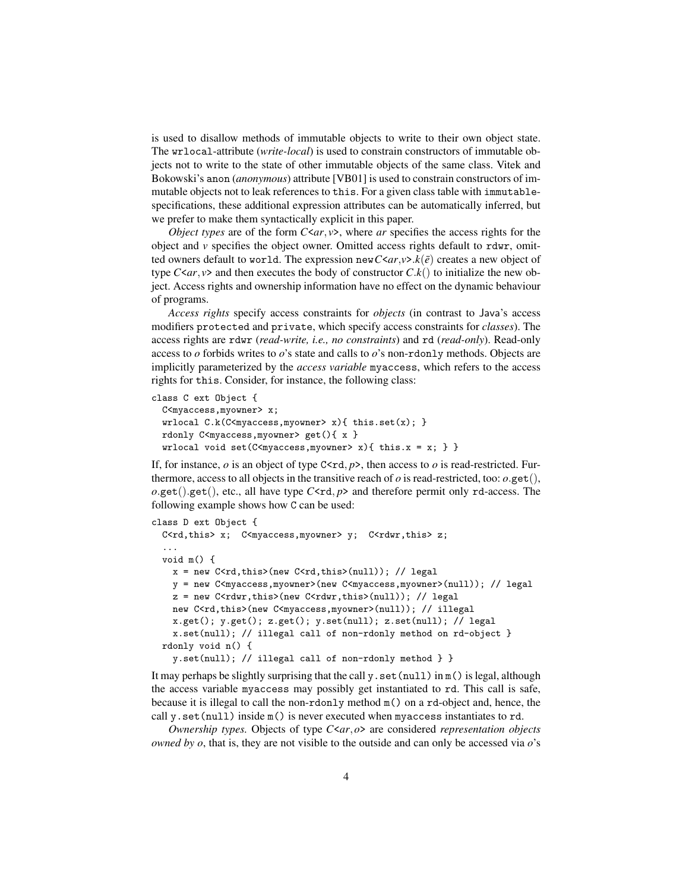is used to disallow methods of immutable objects to write to their own object state. The wrlocal-attribute (*write-local*) is used to constrain constructors of immutable objects not to write to the state of other immutable objects of the same class. Vitek and Bokowski's anon (*anonymous*) attribute [VB01] is used to constrain constructors of immutable objects not to leak references to this. For a given class table with immutablespecifications, these additional expression attributes can be automatically inferred, but we prefer to make them syntactically explicit in this paper.

*Object types* are of the form *C*<*ar*,*v*>, where *ar* specifies the access rights for the object and  $\nu$  specifies the object owner. Omitted access rights default to rdwr, omitted owners default to world. The expression new  $C \langle ar, v \rangle$ . $k(\bar{e})$  creates a new object of type  $C \leq ar, v \geq$  and then executes the body of constructor  $C \cdot k()$  to initialize the new object. Access rights and ownership information have no effect on the dynamic behaviour of programs.

*Access rights* specify access constraints for *objects* (in contrast to Java's access modifiers protected and private, which specify access constraints for *classes*). The access rights are rdwr (*read-write, i.e., no constraints*) and rd (*read-only*). Read-only access to *o* forbids writes to *o*'s state and calls to *o*'s non-rdonly methods. Objects are implicitly parameterized by the *access variable* myaccess, which refers to the access rights for this. Consider, for instance, the following class:

```
class C ext Object {
  C<myaccess, myowner> x;
  wrlocal C.k(C<sub>myaccess,myowner</sub> > x) { this.set(x); }rdonly C<myaccess, myowner> get(){ x }
  wrlocal void set (C<myaccess, myowner> x) { this.x = x; } }
```
If, for instance,  $\rho$  is an object of type C<rd,  $p$ , then access to  $\rho$  is read-restricted. Furthermore, access to all objects in the transitive reach of  $o$  is read-restricted, too:  $o.\text{get}()$ ,  $o.get().get()$ , etc., all have type *C* < rd,  $p$  and therefore permit only rd-access. The following example shows how C can be used:

```
class D ext Object {
  C < r d, this> x; C < m y access, myowner> y; C < r dwr, this> z;
  ...
  void m() {
    x = new C<rd,this>(new C<rd,this>(null)); // legal
    y = new C<myaccess,myowner>(new C<myaccess,myowner>(null)); // legal
    z = new C < r dwr, this > (new C < r dwr, this > (null)); // legal
    new C<rd,this>(new C<myaccess,myowner>(null)); // illegal
    x.get(); y.get(); z.get(); y.set(null); z.set(null); z.set(null); // legalx.set(null); // illegal call of non-rdonly method on rd-object }
 rdonly void n() {
    y.set(null); // illegal call of non-rdonly method } }
```
It may perhaps be slightly surprising that the call y . set (null) in m() is legal, although the access variable myaccess may possibly get instantiated to rd. This call is safe, because it is illegal to call the non-rdonly method m() on a rd-object and, hence, the call y.set(null) inside  $m()$  is never executed when myaccess instantiates to rd.

*Ownership types.* Objects of type *C*<*ar*,*o*> are considered *representation objects owned by o*, that is, they are not visible to the outside and can only be accessed via *o*'s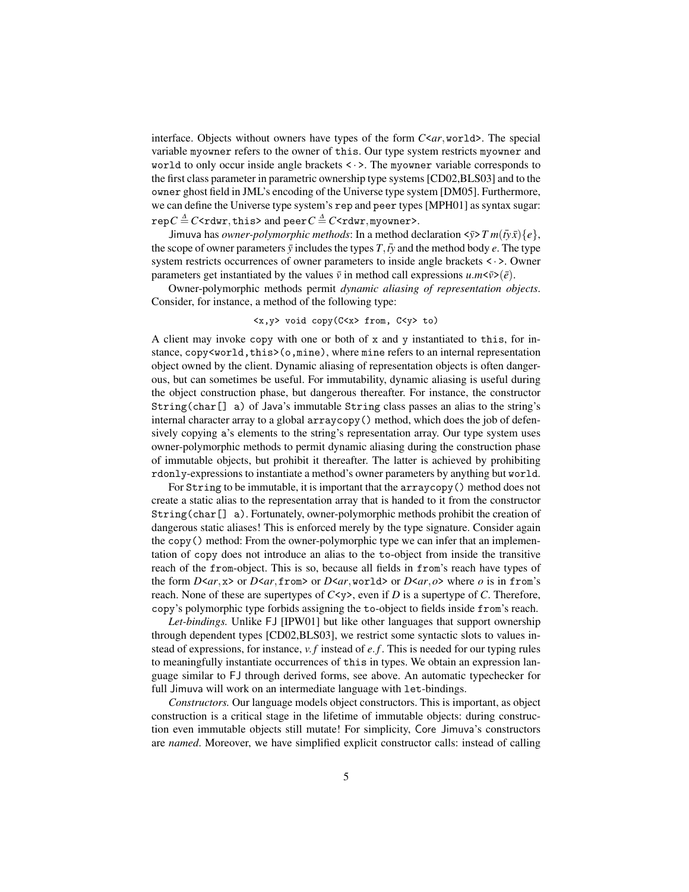interface. Objects without owners have types of the form *C*<*ar*,world>. The special variable myowner refers to the owner of this. Our type system restricts myowner and world to only occur inside angle brackets  $\langle \cdot \rangle$ . The myowner variable corresponds to the first class parameter in parametric ownership type systems [CD02,BLS03] and to the owner ghost field in JML's encoding of the Universe type system [DM05]. Furthermore, we can define the Universe type system's rep and peer types [MPH01] as syntax sugar: rep*C* <sup>∆</sup>= *C*<rdwr,this> and peer*C* <sup>∆</sup>= *C*<rdwr,myowner>.

Jimuva has *owner-polymorphic methods*: In a method declaration  $\langle \nabla \cdot \nabla m(\vec{r} \cdot \vec{x}) \cdot \{\vec{e}\}\rangle$ , the scope of owner parameters  $\bar{y}$  includes the types  $T, \bar{t}y$  and the method body  $e$ . The type system restricts occurrences of owner parameters to inside angle brackets  $\langle \cdot \rangle$ . Owner parameters get instantiated by the values  $\bar{v}$  in method call expressions  $u \cdot m \le \bar{v} > (\bar{e})$ .

Owner-polymorphic methods permit *dynamic aliasing of representation objects*. Consider, for instance, a method of the following type:

<x,y> void copy(C<x> from, C<y> to)

A client may invoke copy with one or both of x and y instantiated to this, for instance, copy<world,this>(o,mine), where mine refers to an internal representation object owned by the client. Dynamic aliasing of representation objects is often dangerous, but can sometimes be useful. For immutability, dynamic aliasing is useful during the object construction phase, but dangerous thereafter. For instance, the constructor String(char[] a) of Java's immutable String class passes an alias to the string's internal character array to a global arraycopy() method, which does the job of defensively copying a's elements to the string's representation array. Our type system uses owner-polymorphic methods to permit dynamic aliasing during the construction phase of immutable objects, but prohibit it thereafter. The latter is achieved by prohibiting rdonly-expressions to instantiate a method's owner parameters by anything but world.

For String to be immutable, it is important that the arraycopy() method does not create a static alias to the representation array that is handed to it from the constructor String(char[] a). Fortunately, owner-polymorphic methods prohibit the creation of dangerous static aliases! This is enforced merely by the type signature. Consider again the copy() method: From the owner-polymorphic type we can infer that an implementation of copy does not introduce an alias to the to-object from inside the transitive reach of the from-object. This is so, because all fields in from's reach have types of the form  $D \leq ar, x >$  or  $D \leq ar$ , from  $\infty$  or  $D \leq ar$ , world  $\infty$  or  $D \leq ar$ ,  $o$  where *o* is in from's reach. None of these are supertypes of  $C \leq y \geq y$ , even if *D* is a supertype of *C*. Therefore, copy's polymorphic type forbids assigning the to-object to fields inside from's reach.

*Let-bindings.* Unlike FJ [IPW01] but like other languages that support ownership through dependent types [CD02,BLS03], we restrict some syntactic slots to values instead of expressions, for instance, *v*. *f* instead of *e*. *f* . This is needed for our typing rules to meaningfully instantiate occurrences of this in types. We obtain an expression language similar to FJ through derived forms, see above. An automatic typechecker for full Jimuva will work on an intermediate language with let-bindings.

*Constructors.* Our language models object constructors. This is important, as object construction is a critical stage in the lifetime of immutable objects: during construction even immutable objects still mutate! For simplicity, Core Jimuva's constructors are *named*. Moreover, we have simplified explicit constructor calls: instead of calling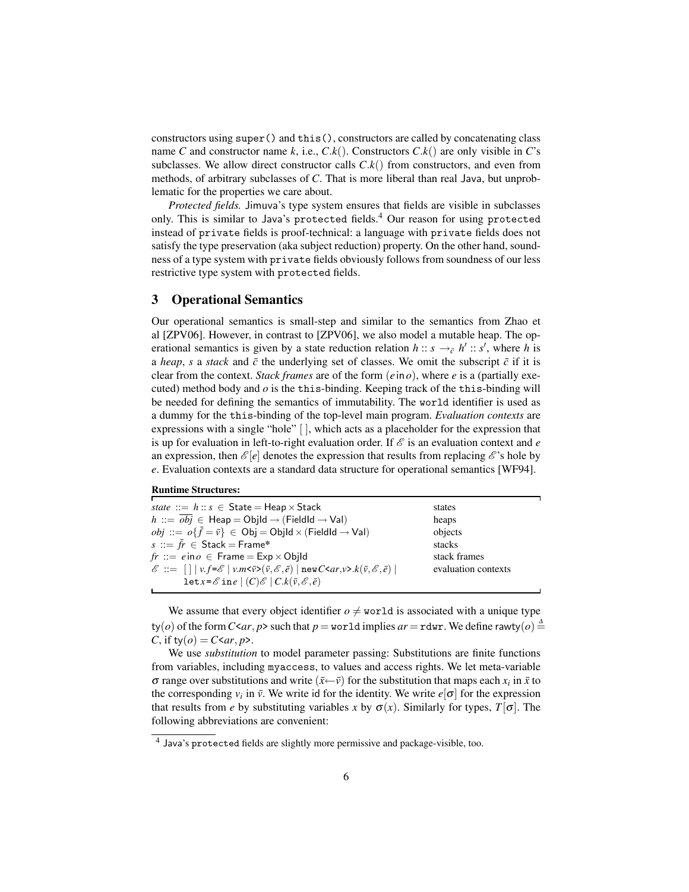constructors using super() and this(), constructors are called by concatenating class name *C* and constructor name *k*, i.e.,  $C.k()$ . Constructors  $C.k()$  are only visible in *C*'s subclasses. We allow direct constructor calls  $C_k()$  from constructors, and even from methods, of arbitrary subclasses of *C*. That is more liberal than real Java, but unproblematic for the properties we care about.

*Protected fields.* Jimuva's type system ensures that fields are visible in subclasses only. This is similar to Java's protected fields.<sup>4</sup> Our reason for using protected instead of private fields is proof-technical: a language with private fields does not satisfy the type preservation (aka subject reduction) property. On the other hand, soundness of a type system with private fields obviously follows from soundness of our less restrictive type system with protected fields.

## 3 Operational Semantics

Our operational semantics is small-step and similar to the semantics from Zhao et al [ZPV06]. However, in contrast to [ZPV06], we also model a mutable heap. The operational semantics is given by a state reduction relation  $h :: s \rightarrow_{\bar{c}} h' :: s'$ , where h is a *heap*, *s* a *stack* and  $\bar{c}$  the underlying set of classes. We omit the subscript  $\bar{c}$  if it is clear from the context. *Stack frames* are of the form (*e* in*o*), where *e* is a (partially executed) method body and  $\sigma$  is the this-binding. Keeping track of the this-binding will be needed for defining the semantics of immutability. The world identifier is used as a dummy for the this-binding of the top-level main program. *Evaluation contexts* are expressions with a single "hole" [ ], which acts as a placeholder for the expression that is up for evaluation in left-to-right evaluation order. If  $\mathscr E$  is an evaluation context and  $e$ an expression, then  $\mathcal{E}[e]$  denotes the expression that results from replacing  $\mathcal{E}$ 's hole by *e*. Evaluation contexts are a standard data structure for operational semantics [WF94].

| state $\therefore$ = $h \therefore s \in$ State = Heap $\times$ Stack                                                                                                                                                                             | states              |
|---------------------------------------------------------------------------------------------------------------------------------------------------------------------------------------------------------------------------------------------------|---------------------|
| $h ::= \overline{obj} \in \text{Heap} = \text{ObjId} \rightarrow (\text{FieldId} \rightarrow \text{Val})$                                                                                                                                         | heaps               |
| <i>obj</i> ::= $o\{\bar{f} = \bar{v}\}\in \mathsf{Obj} = \mathsf{Obj} \times (\mathsf{Field} \rightarrow \mathsf{Val})$                                                                                                                           | objects             |
| $s ::= \bar{fr} \in$ Stack = Frame*                                                                                                                                                                                                               | stacks              |
| $fr ::= e \text{ in } o \in \text{Frame} = \text{Exp} \times \text{Ob}$ ild                                                                                                                                                                       | stack frames        |
| $\mathscr{E} ::= \left[ \left  \left  \right. v.f = \mathscr{E} \right  v.m < \overline{v} > (\overline{v}, \mathscr{E}, \overline{e}) \left  \right. \right  \text{ new } C < ar, v > k(\overline{v}, \mathscr{E}, \overline{e}) \left  \right.$ | evaluation contexts |
| let $x = \mathcal{E}$ in $e \mid (C) \mathcal{E} \mid C.k(\bar{v}, \mathcal{E}, \bar{e})$                                                                                                                                                         |                     |
|                                                                                                                                                                                                                                                   |                     |

We assume that every object identifier  $o \neq$  world is associated with a unique type ty(*o*) of the form *C*<*ar*, *p*> such that *p* = world implies *ar* = rdwr. We define rawty(*o*)  $\stackrel{\Delta}{=}$  $C$ , if  $ty(o) = C$ <*ar*,  $p$ >.

We use *substitution* to model parameter passing: Substitutions are finite functions from variables, including myaccess, to values and access rights. We let meta-variable  $\sigma$  range over substitutions and write  $(\bar{x} \leftarrow \bar{v})$  for the substitution that maps each  $x_i$  in  $\bar{x}$  to the corresponding  $v_i$  in  $\bar{v}$ . We write id for the identity. We write  $e[\sigma]$  for the expression that results from *e* by substituting variables *x* by  $\sigma(x)$ . Similarly for types,  $T[\sigma]$ . The following abbreviations are convenient:

<sup>4</sup> Java's protected fields are slightly more permissive and package-visible, too.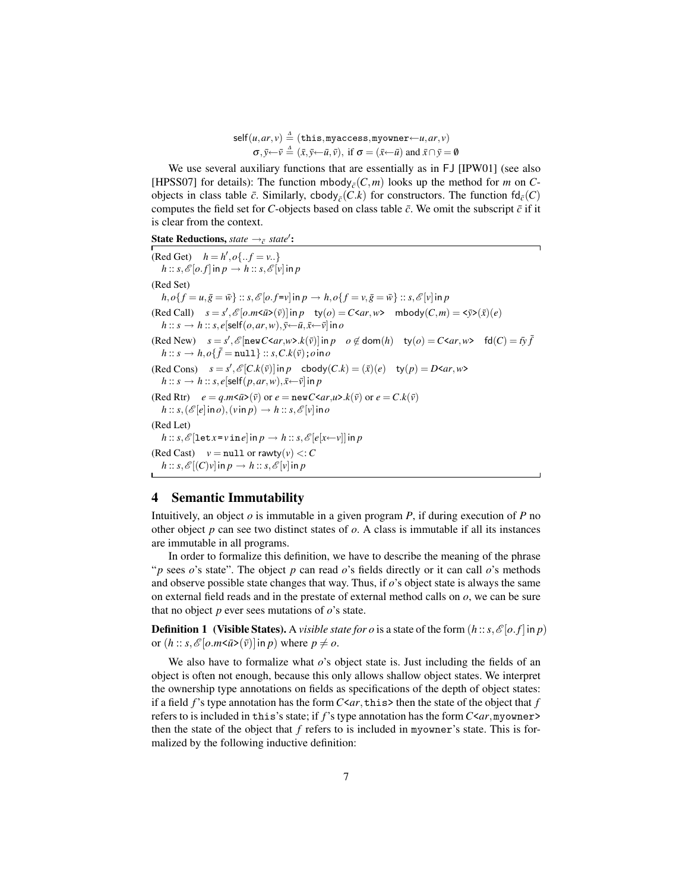self
$$
(u, ar, v) \stackrel{\Delta}{=} (\text{this}, \text{myaccess}, \text{myowner} \leftarrow u, ar, v)
$$
  
 $\sigma, \bar{y} \leftarrow \bar{v} \stackrel{\Delta}{=} (\bar{x}, \bar{y} \leftarrow \bar{u}, \bar{v}), \text{ if } \sigma = (\bar{x} \leftarrow \bar{u}) \text{ and } \bar{x} \cap \bar{y} = \emptyset$ 

We use several auxiliary functions that are essentially as in FJ [IPW01] (see also [HPSS07] for details): The function mbody<sub>*c*</sub>(*C*,*m*) looks up the method for *m* on *C*objects in class table  $\bar{c}$ . Similarly, cbody $_{\bar{c}}(C.k)$  for constructors. The function  $fd_{\bar{c}}(C)$ computes the field set for *C*-objects based on class table  $\bar{c}$ . We omit the subscript  $\bar{c}$  if it is clear from the context.

**State Reductions,** *state*  $\rightarrow_{\bar{c}}$  *state'*:

(Red Get)  $h = h', o\{.. f = v..\}$  $h :: s, \mathcal{E}[o.f]$  in  $p \rightarrow h :: s, \mathcal{E}[v]$  in  $p$ (Red Set)  $h, o\{f = u, \bar{g} = \bar{w}\}$ ::  $s, \mathscr{E}[o.f = v]$  in  $p \to h, o\{f = v, \bar{g} = \bar{w}\}$ ::  $s, \mathscr{E}[v]$  in  $p$  $(\text{Red Call}) \quad s = s', \mathcal{E}[o.m<\bar{u}>\bar{v}]\text{ in } p \quad \text{ty}(o) = C<\ar,w> \quad \text{mbody}(C,m) = \langle \bar{y} \rangle(\bar{x})(e)$  $h :: s \rightarrow h :: s, e$ [self $(o, ar, w), \bar{y} \leftarrow \bar{u}, \bar{x} \leftarrow \bar{v}$ ] in *o*  $(\text{Red New}) \quad s = s', \mathcal{E}[\text{newC} \leq ar, w \geq k(\bar{v})] \text{ in } p \quad o \notin \text{dom}(h) \quad \text{ty}(o) = C \leq ar, w \geq \text{fd}(C) = \bar{t} \leq \bar{f}$  $h :: s \rightarrow h, o\{\bar{f} = \text{null} \} :: s, C.k(\bar{v})$ ;*o*in*o*  $(S = s', \mathcal{E}[C \cdot k(\bar{v})] \text{ in } p \text{ (body}(C \cdot k) = (\bar{x})(e) \text{ (by}(p) = D \leq a \cdot r, w$  $h$  ::  $s \rightarrow h$  ::  $s, e$ [self $(p, ar, w), \bar{x} \leftarrow \bar{v}$ ] in *p*  $(\text{Red Rtr})$   $e = q.m \langle \bar{u} \rangle (\bar{v}) \text{ or } e = \text{new} C \langle ar, u \rangle k(\bar{v}) \text{ or } e = C.k(\bar{v})$  $h :: s, (\mathscr{E}[e] \text{ in } o), (\text{vin } p) \rightarrow h :: s, \mathscr{E}[v] \text{ in } o$ (Red Let)  $h$  ::  $s$ ,  $\mathscr{E}[\texttt{let} \, x = v \, \texttt{in} \, e]$  in  $p \to h$  ::  $s$ ,  $\mathscr{E}[e[x \leftarrow v]]$  in  $p$ (Red Cast)  $v = \text{null}$  or rawty( $v$ ) <: *C*  $h :: s, \mathcal{E}[(C)v]$  in  $p \rightarrow h :: s, \mathcal{E}[v]$  in  $p$ 

#### 4 Semantic Immutability

Intuitively, an object *o* is immutable in a given program *P*, if during execution of *P* no other object  $p$  can see two distinct states of  $o$ . A class is immutable if all its instances are immutable in all programs.

In order to formalize this definition, we have to describe the meaning of the phrase "*p* sees *o*'s state". The object *p* can read *o*'s fields directly or it can call *o*'s methods and observe possible state changes that way. Thus, if *o*'s object state is always the same on external field reads and in the prestate of external method calls on *o*, we can be sure that no object  $p$  ever sees mutations of  $o$ 's state.

**Definition 1** (Visible States). A *visible state for o* is a state of the form  $(h::s,\mathcal{E}[o,f]$  in *p*) or  $(h :: s, \mathcal{E}[o.m<\bar{u}>(\bar{v})]$  in *p*) where  $p \neq o$ .

We also have to formalize what *o*'s object state is. Just including the fields of an object is often not enough, because this only allows shallow object states. We interpret the ownership type annotations on fields as specifications of the depth of object states: if a field  $f$ 's type annotation has the form  $C \leq ar$ , this is then the state of the object that  $f$ refers to is included in this's state; if *f*'s type annotation has the form *C*<*ar*,myowner> then the state of the object that *f* refers to is included in myowner's state. This is formalized by the following inductive definition: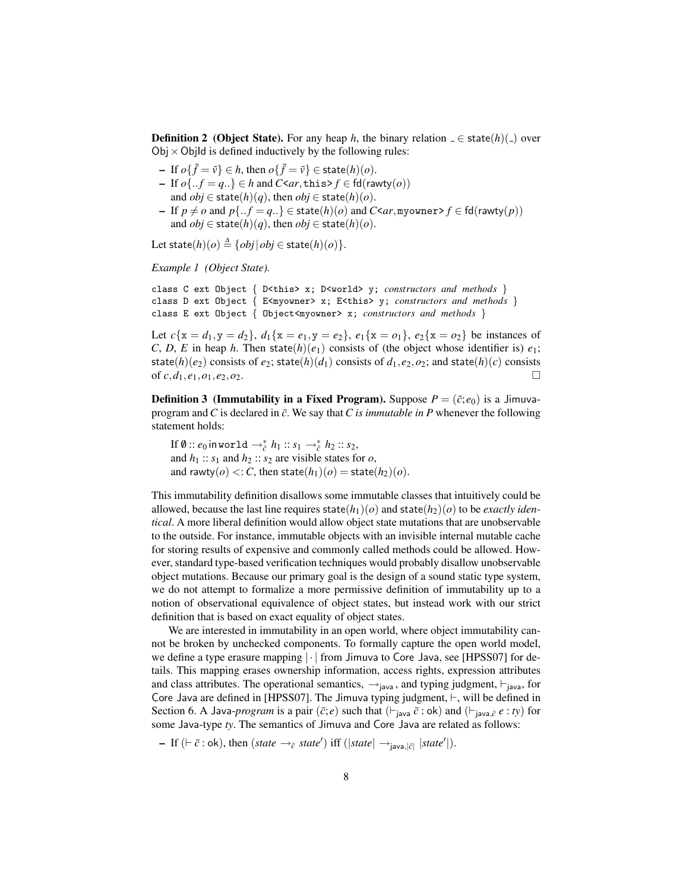**Definition 2 (Object State).** For any heap *h*, the binary relation  $\in$  state(*h*)( $\in$ ) over  $Obj \times Obj$  is defined inductively by the following rules:

- $-I$  If  $o\{\bar{f} = \bar{v}\}\in h$ , then  $o\{\bar{f} = \bar{v}\}\in$  state(*h*)(*o*).
- If *o*{.. *f* = *q*..} ∈ *h* and *C*<*ar*,this> *f* ∈ fd(rawty(*o*)) and  $obj \in state(h)(q)$ , then  $obj \in state(h)(o)$ .
- *−* If *p*  $\neq$  *o* and *p*{..*f* = *q*..} ∈ state(*h*)(*o*) and *C*<*ar*, myowner> *f* ∈ fd(rawty(*p*)) and  $obj \in state(h)(q)$ , then  $obj \in state(h)(o)$ .

Let state $(h)(o) \stackrel{\Delta}{=} \{obj | obj \in \text{state}(h)(o)\}.$ 

*Example 1 (Object State).*

class C ext Object { D<this> x; D<world> y; *constructors and methods* } class D ext Object { E<myowner> x; E<this> y; *constructors and methods* } class E ext Object { Object<myowner> x; *constructors and methods* }

Let  $c\{x = d_1, y = d_2\}$ ,  $d_1\{x = e_1, y = e_2\}$ ,  $e_1\{x = o_1\}$ ,  $e_2\{x = o_2\}$  be instances of *C*, *D*, *E* in heap *h*. Then state(*h*)( $e_1$ ) consists of (the object whose identifier is)  $e_1$ ; state(*h*)(*e*<sub>2</sub>) consists of *e*<sub>2</sub>; state(*h*)(*d*<sub>1</sub>) consists of *d*<sub>1</sub>, *e*<sub>2</sub>, *o*<sub>2</sub>; and state(*h*)(*c*) consists of  $c, d_1, e_1, o_1, e_2, o_2$ .

**Definition 3** (Immutability in a Fixed Program). Suppose  $P = (\bar{c}; e_0)$  is a Jimuvaprogram and *C* is declared in  $\bar{c}$ . We say that *C* is *immutable in* P whenever the following statement holds:

If  $\emptyset$  ::  $e_0$  in world  $\rightarrow_{\bar{c}}^* h_1$  ::  $s_1 \rightarrow_{\bar{c}}^* h_2$  ::  $s_2$ , and  $h_1$  ::  $s_1$  and  $h_2$  ::  $s_2$  are visible states for  $o$ , and rawty( $o$ ) <: *C*, then state( $h_1$ )( $o$ ) = state( $h_2$ )( $o$ ).

This immutability definition disallows some immutable classes that intuitively could be allowed, because the last line requires state( $h_1$ )( $o$ ) and state( $h_2$ )( $o$ ) to be *exactly identical*. A more liberal definition would allow object state mutations that are unobservable to the outside. For instance, immutable objects with an invisible internal mutable cache for storing results of expensive and commonly called methods could be allowed. However, standard type-based verification techniques would probably disallow unobservable object mutations. Because our primary goal is the design of a sound static type system, we do not attempt to formalize a more permissive definition of immutability up to a notion of observational equivalence of object states, but instead work with our strict definition that is based on exact equality of object states.

We are interested in immutability in an open world, where object immutability cannot be broken by unchecked components. To formally capture the open world model, we define a type erasure mapping  $|\cdot|$  from Jimuva to Core Java, see [HPSS07] for details. This mapping erases ownership information, access rights, expression attributes and class attributes. The operational semantics,  $\rightarrow$ <sub>java</sub>, and typing judgment,  $\vdash$ <sub>java</sub>, for Core Java are defined in [HPSS07]. The Jimuva typing judgment,  $\vdash$ , will be defined in Section 6. A Java-*program* is a pair  $(\bar{c}; e)$  such that  $(\vdash_{java} \bar{c} : \text{ok})$  and  $(\vdash_{java} \bar{c} e : \text{ty})$  for some Java-type *ty*. The semantics of Jimuva and Core Java are related as follows:

*−* If ( $\vdash \bar{c}$  : ok), then (*state* →*c state'*) iff (|*state*| →<sub>java,| $\bar{c}$ | |*state'*|).</sub>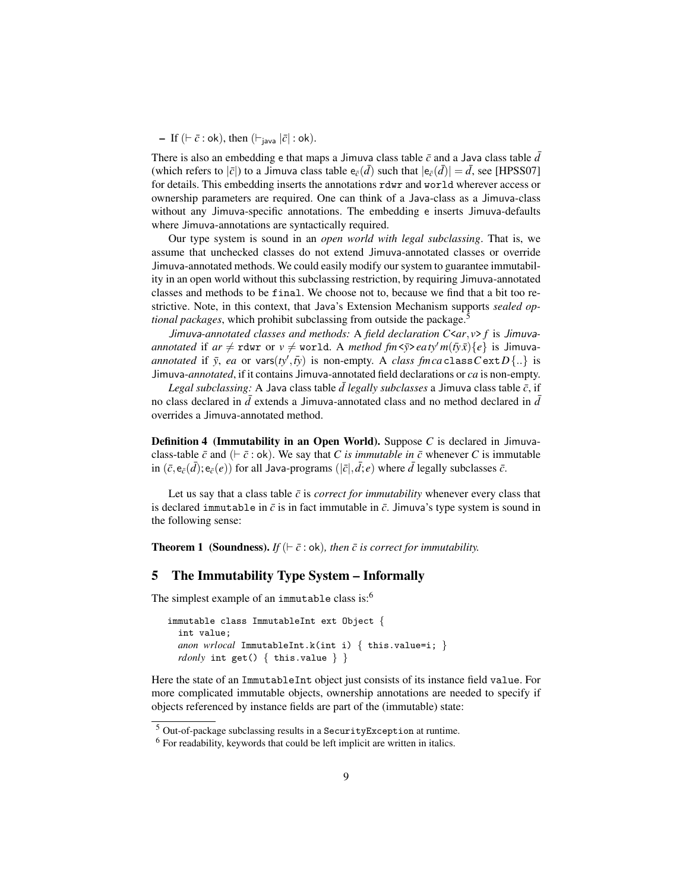$-$  If ( $\vdash \bar{c}$  : ok), then ( $\vdash$ <sub>java</sub>  $|\bar{c}|$  : ok).

There is also an embedding e that maps a Jimuva class table  $\bar{c}$  and a Java class table  $\bar{d}$ (which refers to  $|\bar{c}|$ ) to a Jimuva class table  $e_{\bar{c}}(\bar{d})$  such that  $|e_{\bar{c}}(\bar{d})| = \bar{d}$ , see [HPSS07] for details. This embedding inserts the annotations rdwr and world wherever access or ownership parameters are required. One can think of a Java-class as a Jimuva-class without any Jimuva-specific annotations. The embedding e inserts Jimuva-defaults where Jimuva-annotations are syntactically required.

Our type system is sound in an *open world with legal subclassing*. That is, we assume that unchecked classes do not extend Jimuva-annotated classes or override Jimuva-annotated methods. We could easily modify our system to guarantee immutability in an open world without this subclassing restriction, by requiring Jimuva-annotated classes and methods to be final. We choose not to, because we find that a bit too restrictive. Note, in this context, that Java's Extension Mechanism supports *sealed optional packages*, which prohibit subclassing from outside the package.<sup>5</sup>

Jimuva*-annotated classes and methods:* A *field declaration C*<*ar*,*v*> *f* is Jimuva*annotated* if  $ar \neq$  rdwr or  $v \neq$  world. A *method*  $\lim \langle \bar{v} \rangle$  *eaty*'  $m(\bar{v} \bar{x})\{e\}$  is Jimuva*annotated* if  $\bar{y}$ , *ea* or vars( $ty', \bar{ty}$ ) is non-empty. A *class fm ca* class  $C$  ext  $D\{..\}$  is Jimuva-*annotated*, if it contains Jimuva-annotated field declarations or *ca* is non-empty.

*Legal subclassing:* A Java class table  $\overline{d}$  *legally subclasses* a Jimuva class table  $\overline{c}$ , if no class declared in  $\bar{d}$  extends a Jimuva-annotated class and no method declared in  $\bar{d}$ overrides a Jimuva-annotated method.

**Definition 4 (Immutability in an Open World).** Suppose *C* is declared in Jimuvaclass-table  $\bar{c}$  and  $(F \bar{c} : \text{ok})$ . We say that *C is immutable in*  $\bar{c}$  whenever *C* is immutable in  $(\bar{c}, e_{\bar{c}}(\bar{d}); e_{\bar{c}}(e))$  for all Java-programs  $(|\bar{c}|, \bar{d}; e)$  where  $\bar{d}$  legally subclasses  $\bar{c}$ .

Let us say that a class table  $\bar{c}$  is *correct for immutability* whenever every class that is declared immutable in  $\bar{c}$  is in fact immutable in  $\bar{c}$ . Jimuva's type system is sound in the following sense:

**Theorem 1** (Soundness). *If*  $(F \bar{c} : \text{ok})$ , then  $\bar{c}$  is correct for immutability.

## 5 The Immutability Type System – Informally

The simplest example of an immutable class is: $<sup>6</sup>$ </sup>

```
immutable class ImmutableInt ext Object {
 int value;
 anon wrlocal ImmutableInt.k(int i) { this.value=i; }
 rdonly int get() { this.value } }
```
Here the state of an ImmutableInt object just consists of its instance field value. For more complicated immutable objects, ownership annotations are needed to specify if objects referenced by instance fields are part of the (immutable) state:

<sup>5</sup> Out-of-package subclassing results in a SecurityException at runtime.

 $6$  For readability, keywords that could be left implicit are written in italics.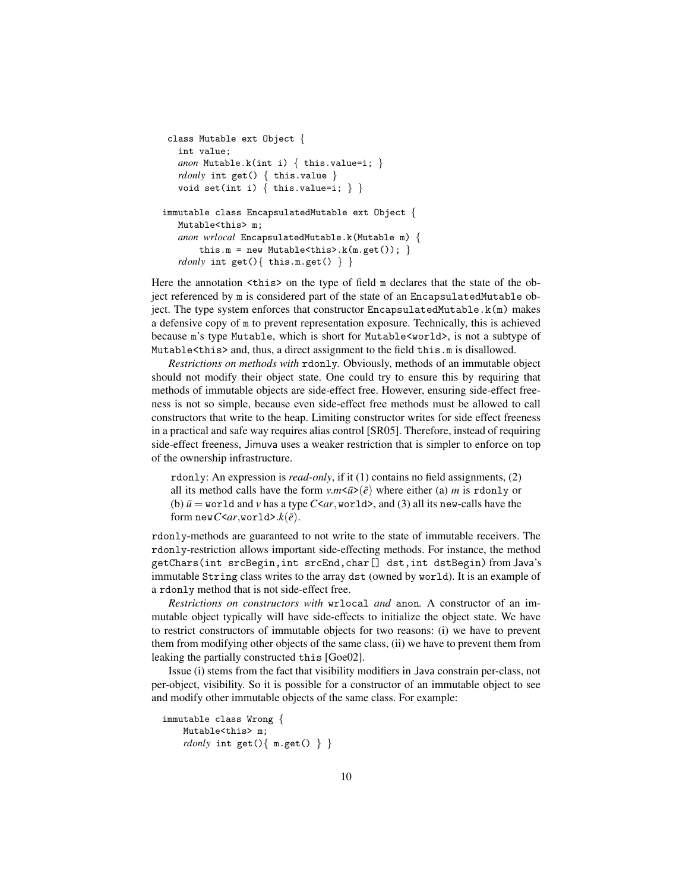```
class Mutable ext Object {
   int value;
   anon Mutable.k(int i) { this.value=i; }
   rdonly int get() { this.value }
   void set(int i) { this.value=i; } }
immutable class EncapsulatedMutable ext Object {
   Mutable<this> m;
   anon wrlocal EncapsulatedMutable.k(Mutable m) {
       this.m = new Mutable\verb|<|this>.k(m.get()); }
   rdonly int get(){ this.m.get() } }
```
Here the annotation  $\langle$ this> on the type of field m declares that the state of the object referenced by m is considered part of the state of an EncapsulatedMutable object. The type system enforces that constructor EncapsulatedMutable.k(m) makes a defensive copy of m to prevent representation exposure. Technically, this is achieved because m's type Mutable, which is short for Mutable<world>, is not a subtype of Mutable<this> and, thus, a direct assignment to the field this.m is disallowed.

*Restrictions on methods with* rdonly*.* Obviously, methods of an immutable object should not modify their object state. One could try to ensure this by requiring that methods of immutable objects are side-effect free. However, ensuring side-effect freeness is not so simple, because even side-effect free methods must be allowed to call constructors that write to the heap. Limiting constructor writes for side effect freeness in a practical and safe way requires alias control [SR05]. Therefore, instead of requiring side-effect freeness, Jimuva uses a weaker restriction that is simpler to enforce on top of the ownership infrastructure.

rdonly: An expression is *read-only*, if it (1) contains no field assignments, (2) all its method calls have the form  $v.m<\bar{u}>(\bar{e})$  where either (a) *m* is rdonly or (b)  $\bar{u}$  = world and *v* has a type *C*<*ar*, world>, and (3) all its new-calls have the form  $newC$ <*ar*,world>. $k(\bar{e})$ .

rdonly-methods are guaranteed to not write to the state of immutable receivers. The rdonly-restriction allows important side-effecting methods. For instance, the method getChars(int srcBegin,int srcEnd,char[] dst,int dstBegin) from Java's immutable String class writes to the array dst (owned by world). It is an example of a rdonly method that is not side-effect free.

*Restrictions on constructors with* wrlocal *and* anon*.* A constructor of an immutable object typically will have side-effects to initialize the object state. We have to restrict constructors of immutable objects for two reasons: (i) we have to prevent them from modifying other objects of the same class, (ii) we have to prevent them from leaking the partially constructed this [Goe02].

Issue (i) stems from the fact that visibility modifiers in Java constrain per-class, not per-object, visibility. So it is possible for a constructor of an immutable object to see and modify other immutable objects of the same class. For example:

```
immutable class Wrong {
   Mutable<this> m;
    rdonly int get(){ m.get() } }
```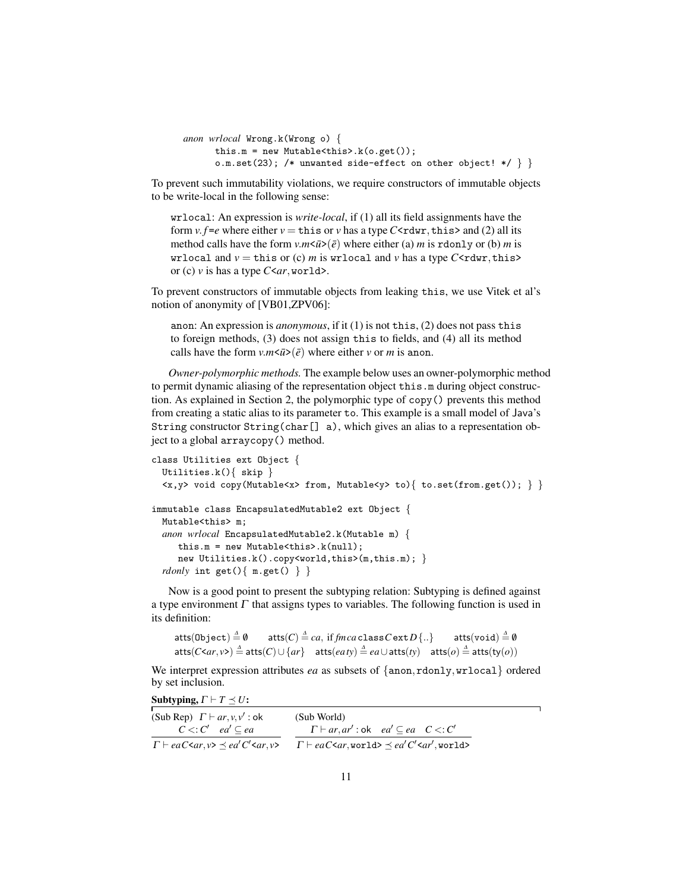```
anon wrlocal Wrong.k(Wrong o) {
      this.m = new Mutable\verb|this|.k(o.get());
      o.m.set(23); /* unwanted side-effect on other object! */ \}
```
To prevent such immutability violations, we require constructors of immutable objects to be write-local in the following sense:

wrlocal: An expression is *write-local*, if (1) all its field assignments have the form *v*.  $f = e$  where either  $v = \text{this}$  or *v* has a type  $C \leq r \leq \text{atw}(2)$  all its method calls have the form  $v.m<\bar{u}>(\bar{e})$  where either (a) *m* is rdonly or (b) *m* is wrlocal and  $v =$  this or (c) *m* is wrlocal and *v* has a type *C* < rdwr, this or (c) *v* is has a type *C*<*ar*,world>.

To prevent constructors of immutable objects from leaking this, we use Vitek et al's notion of anonymity of [VB01,ZPV06]:

anon: An expression is *anonymous*, if it (1) is not this, (2) does not pass this to foreign methods, (3) does not assign this to fields, and (4) all its method calls have the form  $v.m<\bar{u}>(\bar{e})$  where either *v* or *m* is anon.

*Owner-polymorphic methods.* The example below uses an owner-polymorphic method to permit dynamic aliasing of the representation object this.m during object construction. As explained in Section 2, the polymorphic type of copy() prevents this method from creating a static alias to its parameter to. This example is a small model of Java's String constructor String(char[] a), which gives an alias to a representation object to a global arraycopy() method.

```
class Utilities ext Object {
  Utilities.k()\{ skip \}\langle x, y \rangle void copy(Mutable\langle x \rangle from, Mutable\langle y \rangle to){ to.set(from.get()); } }
immutable class EncapsulatedMutable2 ext Object {
  Mutable<this> m;
  anon wrlocal EncapsulatedMutable2.k(Mutable m) {
     this.m = new Mutable<this>.k(null);
     new Utilities.k().copy<world,this>(m,this.m); }
  rdonly int get(){ m.get() } }
```
Now is a good point to present the subtyping relation: Subtyping is defined against a type environment  $\Gamma$  that assigns types to variables. The following function is used in its definition:

```
atts(Object)\stackrel{\Delta}{=} \emptyset\stackrel{\scriptscriptstyle \Delta}{=} \emptyset atts(C) \stackrel{\scriptscriptstyle \Delta}{=} ca, \text{ if } \textit{fmcaclass}\, C \text{ext}\, D \{..\} atts(void)
                                                                                                                                                             atts(void)\stackrel{\Delta}{=} \emptyset\textsf{atts}(C \textless a r, v \textgreater) \triangleq \textsf{atts}(C) \cup \{ar\} atts(eaty) \triangleq ea \cup \textsf{atts}(ty) atts(o) \triangleq \textsf{atts}(ty(o))
```
We interpret expression attributes *ea* as subsets of {anon,rdonly,wrlocal} ordered by set inclusion.

Subtyping,  $\Gamma \vdash T \preceq U$ :

| (Sub Rep) $\Gamma$ + ar, v, v': ok                                          | (Sub World)                                                                 |  |
|-----------------------------------------------------------------------------|-----------------------------------------------------------------------------|--|
| $C \lt C'$ ea' $\subseteq$ ea                                               | $\Gamma \vdash ar, ar' : \mathsf{ok} \quad ea' \subseteq ea \quad C \lt C'$ |  |
| $\Gamma \vdash eaC \langle ar, v \rangle \prec ea'C' \langle ar, v \rangle$ | $\Gamma \vdash eaC$ < $ar$ , world> $\prec ea'C'$ < $ar'$ , world>          |  |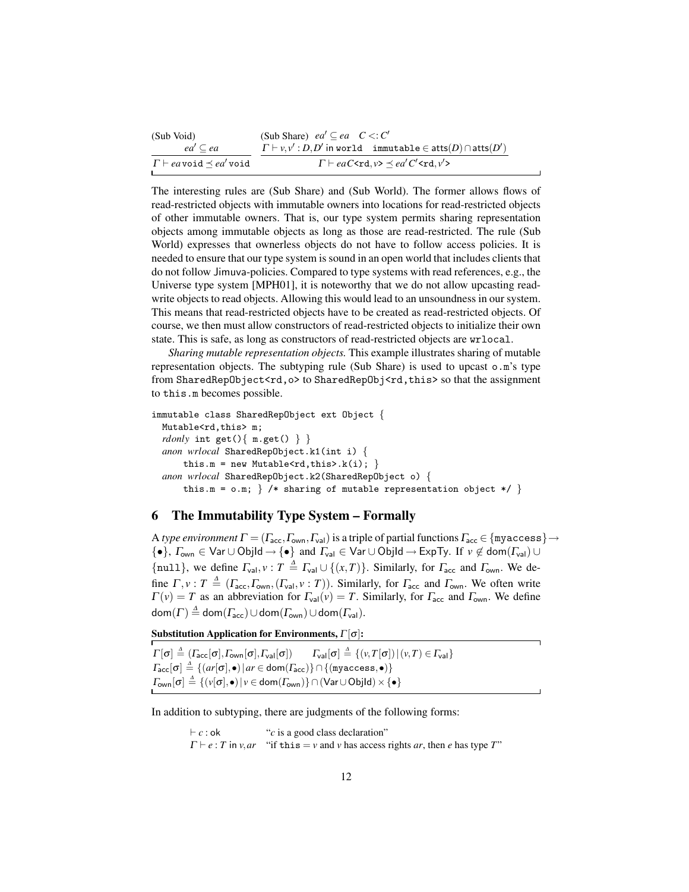| (Sub Void)                                 | (Sub Share) $ea' \subseteq ea \quad C \lt C'$                                                      |  |  |
|--------------------------------------------|----------------------------------------------------------------------------------------------------|--|--|
| $ed' \subseteq ea$                         | $\Gamma \vdash v, v' : D, D'$ in world immutable $\in$ atts $(D) \cap$ atts $(D')$                 |  |  |
| $\Gamma\vdash$ ea void $\prec$ ea $'$ void | $\Gamma \vdash eaC$ <rd, <math="">v&gt; <math>\preceq ea'C'</math><rd, <math="">v'&gt;</rd,></rd,> |  |  |

The interesting rules are (Sub Share) and (Sub World). The former allows flows of read-restricted objects with immutable owners into locations for read-restricted objects of other immutable owners. That is, our type system permits sharing representation objects among immutable objects as long as those are read-restricted. The rule (Sub World) expresses that ownerless objects do not have to follow access policies. It is needed to ensure that our type system is sound in an open world that includes clients that do not follow Jimuva-policies. Compared to type systems with read references, e.g., the Universe type system [MPH01], it is noteworthy that we do not allow upcasting readwrite objects to read objects. Allowing this would lead to an unsoundness in our system. This means that read-restricted objects have to be created as read-restricted objects. Of course, we then must allow constructors of read-restricted objects to initialize their own state. This is safe, as long as constructors of read-restricted objects are wrlocal.

*Sharing mutable representation objects.* This example illustrates sharing of mutable representation objects. The subtyping rule (Sub Share) is used to upcast o.m's type from SharedRepObject<rd, o> to SharedRepObj<rd, this> so that the assignment to this.m becomes possible.

```
immutable class SharedRepObject ext Object {
 Mutable<rd,this> m;
 rdonly int get(){ m.get() } }
 anon wrlocal SharedRepObject.k1(int i) {
      this.m = new Mutable\forallrd,this> k(i);anon wrlocal SharedRepObject.k2(SharedRepObject o) {
      this.m = o.m; \} /* sharing of mutable representation object */ \}
```
## 6 The Immutability Type System – Formally

A *type environment*  $\Gamma = (\Gamma_{\text{acc}}, \Gamma_{\text{own}}, \Gamma_{\text{val}})$  is a triple of partial functions  $\Gamma_{\text{acc}} \in {\text{myaccess}} \rightarrow$  $\{\bullet\},\ \Gamma_{\text{own}} \in \text{Var}\cup\text{ObjId} \rightarrow \{\bullet\} \text{ and } \Gamma_{\text{val}} \in \text{Var}\cup\text{ObjId} \rightarrow \text{ExpTy}. \text{ If } v \notin \text{dom}(\Gamma_{\text{val}}) \cup \Gamma_{\text{val}} \rightarrow \text{ProjId} \rightarrow \text{ExpTy}.$  ${\text{null}}$ , we define  $\Gamma_{\text{val}}, v : T \triangleq \Gamma_{\text{val}} \cup \{(x,T)\}\$ . Similarly, for  $\Gamma_{\text{acc}}$  and  $\Gamma_{\text{own}}$ . We define  $\Gamma, \nu : T \triangleq (\Gamma_{\text{acc}}, \Gamma_{\text{own}}, (\Gamma_{\text{val}}, \nu : T))$ . Similarly, for  $\Gamma_{\text{acc}}$  and  $\Gamma_{\text{own}}$ . We often write  $\Gamma(v) = T$  as an abbreviation for  $\Gamma_{\text{val}}(v) = T$ . Similarly, for  $\Gamma_{\text{acc}}$  and  $\Gamma_{\text{own}}$ . We define  $\mathsf{dom}(\varGamma)\triangleq\mathsf{dom}(\varGamma_\mathsf{acc})\cup\mathsf{dom}(\varGamma_\mathsf{own})\cup\mathsf{dom}(\varGamma_\mathsf{val}).$ 

Substitution Application for Environments,  $\Gamma[\sigma]$ :

 $\Gamma[\sigma]\triangleq\left(\mathit{\Gamma}_{\mathsf{acc}}[\sigma],\mathit{\Gamma}_{\mathsf{own}}[\sigma],\mathit{\Gamma}_{\mathsf{val}}[\sigma]\right) \qquad \mathit{\Gamma}_{\mathsf{val}}[\sigma]$  $\Gamma_{\mathsf{val}}[\sigma] \stackrel{\scriptscriptstyle\Delta}{=} \{(\nu,T[\sigma])\,|\, (\nu,T) \in \Gamma_{\mathsf{val}}\}$  $\varGamma_{\sf acc}[\sigma] \triangleq \{(ar[\sigma], \bullet) \, | \, ar \in \mathsf{dom}(\varGamma_{\sf acc})\} \cap \{(\texttt{myaccess}, \bullet)\}$  $\varGamma_{\mathsf{own}}[\sigma] \stackrel{\scriptscriptstyle\Delta}{=} \{(\nu[\sigma],\bullet)| \, \nu\in\mathsf{dom}(\varGamma_{\mathsf{own}}))\}\cap (\mathsf{Var}\cup\mathsf{Objld})\times \{\bullet\}$ 

In addition to subtyping, there are judgments of the following forms:

 $\vdash c : \mathsf{ok}$  "*c* is a good class declaration"  $\Gamma \vdash e : T$  in  $v, ar$  "if this = *v* and *v* has access rights *ar*, then *e* has type *T*"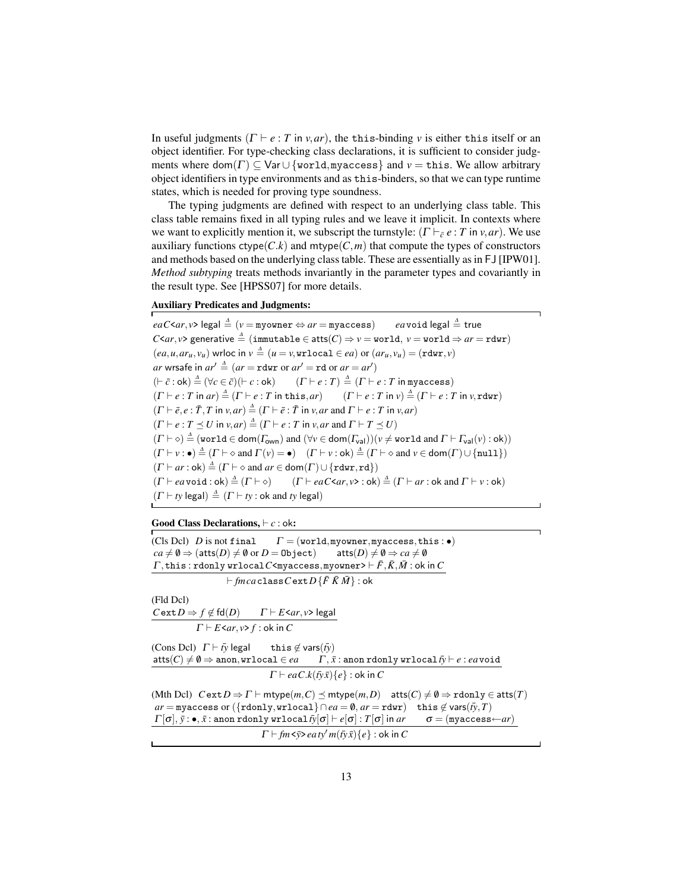In useful judgments  $(\Gamma \vdash e : T \text{ in } v, ar)$ , the this-binding *v* is either this itself or an object identifier. For type-checking class declarations, it is sufficient to consider judgments where  $\text{dom}(\Gamma) \subseteq \text{Var} \cup \{\text{world}, \text{myaccess}\}\$  and  $v = \text{this}$ . We allow arbitrary object identifiers in type environments and as this-binders, so that we can type runtime states, which is needed for proving type soundness.

The typing judgments are defined with respect to an underlying class table. This class table remains fixed in all typing rules and we leave it implicit. In contexts where we want to explicitly mention it, we subscript the turnstyle:  $(\Gamma \vdash_{\bar{c}} e : T \text{ in } v, ar)$ . We use auxiliary functions  $ctype(C.k)$  and  $mtype(C,m)$  that compute the types of constructors and methods based on the underlying class table. These are essentially as in FJ [IPW01]. *Method subtyping* treats methods invariantly in the parameter types and covariantly in the result type. See [HPSS07] for more details.

#### Auxiliary Predicates and Judgments:

 $eaC\leq ar, v$  legal  $\stackrel{\Delta}{=}$  (*v* = myowner  $\Leftrightarrow ar$  = myaccess) *eavoid legal*  $\stackrel{\Delta}{=}$  true *C*<*ar*,*v*> generative  $\stackrel{\Delta}{=}$  (immutable ∈ atts(*C*)  $\Rightarrow$  *v* = world, *v* = world  $\Rightarrow$  *ar* = rdwr)  $(ea, u, ar_u, v_u)$  wrloc in  $v \triangleq (u = v, \text{wrlocal} \in ea)$  or  $(ar_u, v_u) = (\text{rdwr}, v)$  $ar$  wrsafe in  $ar' \triangleq (ar = r)$ dwr or  $ar' = rd$  or  $ar = ar'$ )  $(F \bar{c} : \mathsf{ok}) \stackrel{\Delta}{=} (\forall c \in \bar{c})(\vdash c : \mathsf{ok})$   $(\Gamma \vdash e : T) \stackrel{\Delta}{=} (\Gamma \vdash e : T \mathsf{ in } \mathsf{myaccess})$  $(\Gamma \vdash e : T \text{ in } ar) \stackrel{\scriptscriptstyle \Delta}{=} (\Gamma \vdash e : T \text{ in } \text{this}, ar)$   $(\Gamma \vdash e : T \text{ in } v) \stackrel{\scriptscriptstyle \Delta}{=} (\Gamma \vdash e : T \text{ in } v, \text{rdwr})$  $(\Gamma \vdash \bar{e}, e : \bar{T}, T \text{ in } v, ar) \stackrel{\Delta}{=} (\Gamma \vdash \bar{e} : \bar{T} \text{ in } v, ar \text{ and } \Gamma \vdash e : T \text{ in } v, ar)$  $(T \vdash e : T \preceq U$  in  $v, ar) \stackrel{\Delta}{=} (\Gamma \vdash e : T$  in  $v, ar$  and  $\Gamma \vdash T \preceq U)$  $(\Gamma \vdash \diamond) \stackrel{\Delta}{=} (\texttt{world} \in \texttt{dom}(\Gamma_{\textsf{own}}) \text{ and } (\forall v \in \textsf{dom}(\Gamma_{\textsf{val}})) (\textcolor{red}{v} \neq \texttt{world} \text{ and } \Gamma \vdash \Gamma_{\textsf{val}}(\textcolor{red}{v}):\textsf{ok}))$  $(\Gamma \vdash v : \bullet) \stackrel{\Delta}{=} (\Gamma \vdash \diamond \text{ and } \Gamma(v) = \bullet) \quad (\Gamma \vdash v : \mathsf{ok}) \stackrel{\Delta}{=} (\Gamma \vdash \diamond \text{ and } v \in \mathsf{dom}(\Gamma) \cup \{\mathtt{null}\})$  $(\Gamma \vdash ar : \mathsf{ok}) \stackrel{\Delta}{=} (\Gamma \vdash \diamond \mathsf{and} \mathit{ar} \in \mathsf{dom}(\Gamma) \cup \{\mathsf{rdwr}, \mathsf{rd}\})$  $(\Gamma \vdash$  *ea* void : ok)  $\stackrel{\Delta}{=} (\Gamma \vdash \diamond)$  $\stackrel{\Delta}{=} (\Gamma \vdash \diamond)$  ( $\Gamma \vdash eaC \leq ar, v \geq : \circ k$ )  $\stackrel{\Delta}{=} (\Gamma \vdash ar : \circ k \text{ and } \Gamma \vdash v : \circ k)$  $(\Gamma \vdash ty \text{ legal}) \triangleq (\Gamma \vdash ty : \text{ok} \text{ and } ty \text{ legal})$ 

#### Good Class Declarations,  $\vdash c : \circ \mathsf{k}$ :

(Cls Dcl) *D* is not final  $\Gamma = (\text{world, myowner, myaccess, this : \bullet})$ <br>  $ca \neq \emptyset \Rightarrow (\text{atts}(D) \neq \emptyset \text{ or } D = \text{Object})$  atts $(D) \neq \emptyset \Rightarrow ca \neq \emptyset$  $ca \neq \emptyset \Rightarrow (atts(D) \neq \emptyset \text{ or } D = \text{Object})$  $\Gamma$ , this : rdonly wrlocal *C*<myaccess, myowner>  $\models$   $\bar{F}$ ,  $\bar{K}$ ,  $\bar{M}$  : ok in *C*  $f{m}$  *ca* class  $C$  ext  $D\{\bar{F}\ \bar{K}\ \bar{M}\}$  : ok (Fld Dcl)  $C$ ext $D \Rightarrow f \notin \text{fd}(D)$   $\Gamma \vdash E \leq ar, v$  legal  $\Gamma \vdash E \leq ar, v \geq f : \text{ok in } C$ (Cons Dcl)  $\Gamma \vdash \bar{\tau}$ *y* legal this  $\notin$  vars( $\bar{\tau}$ *y*)  ${\sf atts}(C) \neq \emptyset \Rightarrow \text{anon}, {\tt wrlocal} \in ea$   $\Gamma, \bar{x}$ : anon rdonly wrlocal  $\bar{ty} \vdash e$ : *ea* void  $\Gamma \vdash eaC.k(\bar{t}v\bar{x})\{e\}$ : ok in C  $(Mth Dcl)$   $CextD \Rightarrow \Gamma \vdash \text{mtype}(m, C) \preceq \text{mtype}(m, D)$  atts $(C) \neq \emptyset \Rightarrow \text{rdonly} \in \text{atts}(T)$  $ar = mg$  access or ({rdonly, wrlocal}  $\cap ea = \emptyset$ ,  $ar =$  rdwr) this  $\notin \text{vars}(\bar{t}, T)$  $\Gamma[\sigma], \bar{y}:\bullet, \bar{x}:\text{anon redonly wrlocal}\bar{t}y[\sigma] \vdash e[\sigma]: T[\sigma]$  in  $ar \qquad \sigma = (\text{myaccess} \leftarrow ar)$  $\Gamma \vdash f$ *m* < $\bar{y}$ > *eaty'*  $m(\bar{t} \bar{y} \bar{x})$  { $e$  }: ok in *C*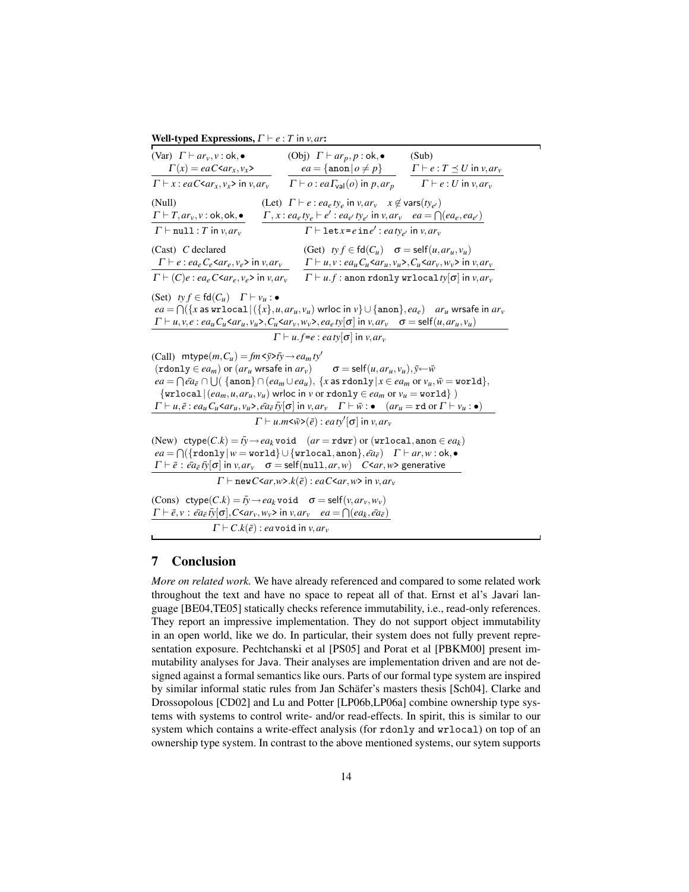Well-typed Expressions,  $\Gamma \vdash e : T$  in *v*, *ar*:

| (Var) $\Gamma \vdash ar_v, v : \text{ok.} \bullet$ (Obj) $\Gamma \vdash ar_v, p : \text{ok.} \bullet$ (Sub)                                                                                                                                                                                                                                                                                                                                                                                                                                                                                                               |                                                                                             |  |
|---------------------------------------------------------------------------------------------------------------------------------------------------------------------------------------------------------------------------------------------------------------------------------------------------------------------------------------------------------------------------------------------------------------------------------------------------------------------------------------------------------------------------------------------------------------------------------------------------------------------------|---------------------------------------------------------------------------------------------|--|
| $\Gamma(x) = eaC \langle ar_x, v_x \rangle$                                                                                                                                                                                                                                                                                                                                                                                                                                                                                                                                                                               | $ea = \{\text{anon}   o \neq p\}$ $\Gamma \vdash e : T \preceq U$ in $v, ar_v$              |  |
| $\Gamma \vdash x : eaC \leq ar_x, v_x > \text{in } v, ar_y$ $\Gamma \vdash o : ea \Gamma_{\text{val}}(o) \text{ in } p, ar_y$ $\Gamma \vdash e : U \text{ in } v, ar_y$                                                                                                                                                                                                                                                                                                                                                                                                                                                   |                                                                                             |  |
| (Null)                                                                                                                                                                                                                                                                                                                                                                                                                                                                                                                                                                                                                    | (Let) $\Gamma \vdash e : ea_e t y_e$ in $v, ar_v \quad x \notin \text{vars}(t y_{e'})$      |  |
| $\Gamma \vdash T, ar_v, v : \text{ok}, \text{ok}, \bullet \qquad \Gamma, x : ea_e t y_e \vdash e' : ea_{e'} t y_{e'} \text{ in } v, ar_v \quad ea = \bigcap (ea_e, ea_{e'})$                                                                                                                                                                                                                                                                                                                                                                                                                                              |                                                                                             |  |
| $\Gamma$ $\vdash$ null : T in v, ar <sub>v</sub>                                                                                                                                                                                                                                                                                                                                                                                                                                                                                                                                                                          | $\Gamma \vdash \texttt{let} x = e \texttt{in} e' : e a t y_{e'}$ in $v, a r_v$              |  |
| $(Cast)$ <i>C</i> declared<br>$\Gamma \vdash e : ea_e C_e \langle ar_e, v_e \rangle$ in $v, ar_v$ $\Gamma \vdash u, v : ea_u C_u \langle ar_u, v_u \rangle, C_u \langle ar_v, w_v \rangle$ in $v, ar_v$                                                                                                                                                                                                                                                                                                                                                                                                                   | (Get) $ty f \in \text{fd}(C_u)$ $\sigma = \text{self}(u, ar_u, v_u)$                        |  |
| $\Gamma \vdash (C)e : ea_e C \langle ar_e, v_e \rangle$ in $v, ar_v \quad \Gamma \vdash u.f :$ anon rdonly wrlocal $ty[\sigma]$ in $v, ar_v$                                                                                                                                                                                                                                                                                                                                                                                                                                                                              |                                                                                             |  |
| (Set) $ty f \in \text{fd}(C_u)$ $\Gamma \vdash v_u : \bullet$<br>$ea = \bigcap (\{x \text{ as wrlocal}   (\{x\}, u, ar_u, v_u) \text{ wrloc in } v\} \cup \{\text{anon}\}, ea_e)$ ar <sub>u</sub> wrsafe in ar <sub>v</sub><br>$\Gamma \vdash u, v, e : e a_u C_u \langle ar_u, v_u \rangle, C_u \langle ar_v, w_v \rangle, e a_e t y [\sigma]$ in $v, ar_v \quad \sigma = \text{self}(u, ar_u, v_u)$                                                                                                                                                                                                                     | $\Gamma \vdash u$ . f=e : eaty $[\sigma]$ in v, ar <sub>v</sub>                             |  |
| (Call) mtype $(m, C_u) = fm < \bar{y} > \bar{t}y \rightarrow ea_m ty'$<br>$(\text{rdonly} \in ea_m)$ or $(ar_u$ wrsafe in $ar_v$ $\sigma = \text{self}(u, ar_u, v_u), \bar{y} \leftarrow \bar{w}$<br>$ea = \bigcap \overline{ea}_{\overline{e}} \cap \bigcup (\{ \text{anon} \} \cap (ea_m \cup ea_u), \{ x \text{ as roonly}   x \in ea_m \text{ or } v_u, \overline{w} = \text{world} \},$<br>$\Gamma \vdash u, \bar{e} : e a_u C_u \langle a r_u, v_u \rangle, \bar{e} \bar{a} \bar{e} \bar{v} [\sigma]$ in $v, a r_v \quad \Gamma \vdash \bar{w} : \bullet \quad (a r_u = \text{rd or } \Gamma \vdash v_u : \bullet)$ | $\{$ wrlocal $ (ea_m, u, ar_u, v_u)$ wrloc in v or rdonly $\in ea_m$ or $v_u =$ world $\})$ |  |
|                                                                                                                                                                                                                                                                                                                                                                                                                                                                                                                                                                                                                           | $\Gamma \vdash u.m<\bar{w}>(\bar{e}):$ eaty'[ $\sigma$ ] in v, ar <sub>v</sub>              |  |
| (New) ctype(C.k) = $\bar{ty} \rightarrow ea_k$ void (ar = rdwr) or (wrlocal, anon $\in ea_k$ )<br>$ea = \bigcap (\{\texttt{rdonly}   w = \texttt{world}\} \cup \{\texttt{wrlocal}, \texttt{anon}\}, \bar{ea}_{\bar{e}})$ $\Gamma \vdash ar, w : \texttt{ok}, \bullet$<br>$\Gamma \vdash \bar{e} : \bar{e}a_{\bar{e}}\bar{t}y[\sigma]$ in $v, ar_v \quad \sigma = \text{self}(\text{null}, ar, w) \quad C \leq ar, w > \text{generative}$                                                                                                                                                                                  |                                                                                             |  |
|                                                                                                                                                                                                                                                                                                                                                                                                                                                                                                                                                                                                                           | $\Gamma \vdash$ new $C \leq ar,w > k(\bar{e}) : eaC \leq ar,w >$ in $v, ar_v$               |  |
| (Cons) ctype(C.k) = $\bar{ty}$ $\rightarrow$ ea <sub>k</sub> void $\sigma$ = self(v, ar <sub>v</sub> , w <sub>v</sub> )                                                                                                                                                                                                                                                                                                                                                                                                                                                                                                   |                                                                                             |  |
| $\Gamma \vdash \bar{e}, v : \bar{e}a_{\bar{e}}\bar{t}y[\sigma], C \langle ar_v, w_v \rangle$ in $v, ar_v \quad ea = \bigcap (ea_k, \bar{ea}_{\bar{e}})$                                                                                                                                                                                                                                                                                                                                                                                                                                                                   |                                                                                             |  |
| $\Gamma \vdash C.k(\bar{e})$ : eavoid in v, ar <sub>v</sub>                                                                                                                                                                                                                                                                                                                                                                                                                                                                                                                                                               |                                                                                             |  |

#### 7 Conclusion

*More on related work.* We have already referenced and compared to some related work throughout the text and have no space to repeat all of that. Ernst et al's Javari language [BE04,TE05] statically checks reference immutability, i.e., read-only references. They report an impressive implementation. They do not support object immutability in an open world, like we do. In particular, their system does not fully prevent representation exposure. Pechtchanski et al [PS05] and Porat et al [PBKM00] present immutability analyses for Java. Their analyses are implementation driven and are not designed against a formal semantics like ours. Parts of our formal type system are inspired by similar informal static rules from Jan Schäfer's masters thesis [Sch04]. Clarke and Drossopolous [CD02] and Lu and Potter [LP06b,LP06a] combine ownership type systems with systems to control write- and/or read-effects. In spirit, this is similar to our system which contains a write-effect analysis (for rdonly and wrlocal) on top of an ownership type system. In contrast to the above mentioned systems, our sytem supports